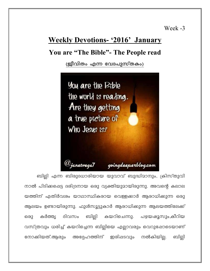Week -3

# **Weekly Devotions- '2016' January**

## You are "The Bible"- The People read

(ജീവിതം എന്ന വേദപുസ്തകം)



ബില്ലി എന്ന ബിരുദധാരിയായ യുവാവ് ബുദ്ധിമാനും, ക്രിസ്തുവി നാൽ പിടിക്കപ്പെട്ട ദരിദ്രനായ ഒരു വ്യക്തിയുമായിരുന്നു. അവന്റെ കലാല യത്തിന് എതിർവശം യാഥാസ്ഥികരായ വെള്ളക്കാർ ആരാധിക്കുന്ന ഒരു ആലയം ഉണ്ടായിരുന്നു. ഫുൾസൂട്ടുകാർ ആരാധിക്കുന്ന ആലയത്തിലേക്ക് ബില്ലി കയറിചെന്നു. പഴയഷൂസും,കീറിയ കർത്ത്യ ദിവസം ഒരു വസ്ത്രവും ധരിച്ച് കയറിച്ചെന്ന ബില്ലിയെ എല്ലാവരും വെറുഷോടെയാണ് നോക്കിയത്.ആരും അദ്ദേഹത്തിന് ഇരിഷടവും നൽകിയില്ല. ബിലി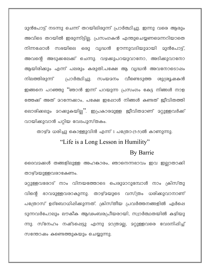മുൻപോട്ട് നടന്നു ചെന്ന് തറയിലിരുന്ന് പ്രാർത്ഥിച്ചു. ഇന്നു വരെ ആരും അവിടെ തറയിൽ ഇരുന്നിട്ടില്ല. പ്രസംഗകൻ എന്തുചെയ്യണമെന്നറിയാതെ നിന്നപ്പോൾ സഭയിലെ ഒരു വൃദ്ധൻ ഊന്നുവടിയുമായി മുൻപോട്ട്, അവന്റെ അടുക്കലേക്ക് ചെന്നു. വഴക്കുപറയുവാനോ, അടിക്കുവാനോ ആയിരിക്കും എന്ന് പലരും കരുതി.പക്ഷേ ആ വൃദ്ധൻ അവനോടൊഷം പ്രാർത്ഥിച്ചു. സംയമനം വീണ്ടെടുത്ത ശുശ്രൂഷകൻ നിലത്തിരുന്ന് ഇങ്ങനെ പറഞ്ഞു ''ഞാൻ ഇന്ന് പറയുന്ന പ്രസംഗം കേട്ട നിങ്ങൾ നാള ത്തേക്ക് അത് മറന്നേക്കാം, പക്ഷേ ഇപ്പോൾ നിങ്ങൾ കണ്ടത് ജീവിതത്തി ലൊരിക്കലും മറക്കുകയില്ല". ഇപ്രകാരമുള്ള ജീവിതമാണ് മറ്റുള്ളവർക്ക് വായിക്കുവാൻ പറ്റിയ വേദപുസ്തകം.

താഴ്ച ധരിച്ചു കൊള്ളുവിൻ എന്ന് 1 പത്രോ:(5:5)ൽ കാണുന്നു.

## "Life is a Long Lesson in Humility"

#### **By Barrie**

ദൈവമക്കൾ തങ്ങളിലുള്ള അഹകാരം, ഞാനെന്നഭാവം ഇവ ഇല്ലാതാക്കി താഴ്മയുള്ളവരാകേണം.

മറ്റുള്ളവരോട് നാം വിനയത്തോടെ പെരുമാറുമ്പോൾ നാം ക്രിസ്തു വിന്റെ ഭാവമുള്ളവരാകുന്നു. താഴ്മയുടെ വസ്ത്രം ധരിക്കുവാനാണ് പത്രോസ് ഉദ്ബോധിപ്പിക്കുന്നത്. ക്രിസ്തീയ പ്രവർത്തനങ്ങളിൽ ഏർപ്പെ ടുന്നവർപോലും ലൗകീക ആഢംബരപ്രീയരായി, സ്വാർത്ഥതയിൽ കഴിയു ന്നു. സ്നേഹം നഷ്ടപ്പെട്ടു എന്നു മാത്രമല്ല, മറ്റുള്ളവരെ വേദനിഷിച്ച് സന്തോഷം കണ്ടെത്തുകയും ചെയ്യുന്നു.